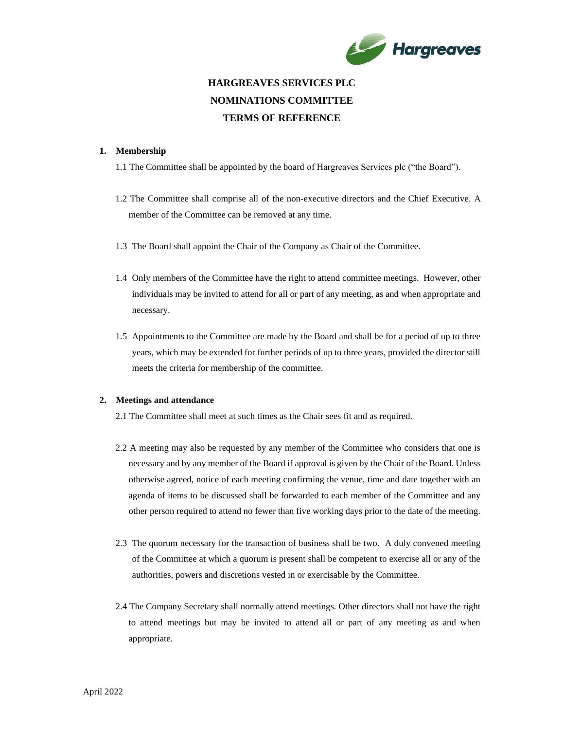

# **HARGREAVES SERVICES PLC NOMINATIONS COMMITTEE TERMS OF REFERENCE**

#### **1. Membership**

1.1 The Committee shall be appointed by the board of Hargreaves Services plc ("the Board").

- 1.2 The Committee shall comprise all of the non-executive directors and the Chief Executive. A member of the Committee can be removed at any time.
- 1.3 The Board shall appoint the Chair of the Company as Chair of the Committee.
- 1.4 Only members of the Committee have the right to attend committee meetings. However, other individuals may be invited to attend for all or part of any meeting, as and when appropriate and necessary.
- 1.5 Appointments to the Committee are made by the Board and shall be for a period of up to three years, which may be extended for further periods of up to three years, provided the director still meets the criteria for membership of the committee.

# **2. Meetings and attendance**

2.1 The Committee shall meet at such times as the Chair sees fit and as required.

- 2.2 A meeting may also be requested by any member of the Committee who considers that one is necessary and by any member of the Board if approval is given by the Chair of the Board. Unless otherwise agreed, notice of each meeting confirming the venue, time and date together with an agenda of items to be discussed shall be forwarded to each member of the Committee and any other person required to attend no fewer than five working days prior to the date of the meeting.
- 2.3 The quorum necessary for the transaction of business shall be two. A duly convened meeting of the Committee at which a quorum is present shall be competent to exercise all or any of the authorities, powers and discretions vested in or exercisable by the Committee.
- 2.4 The Company Secretary shall normally attend meetings. Other directors shall not have the right to attend meetings but may be invited to attend all or part of any meeting as and when appropriate.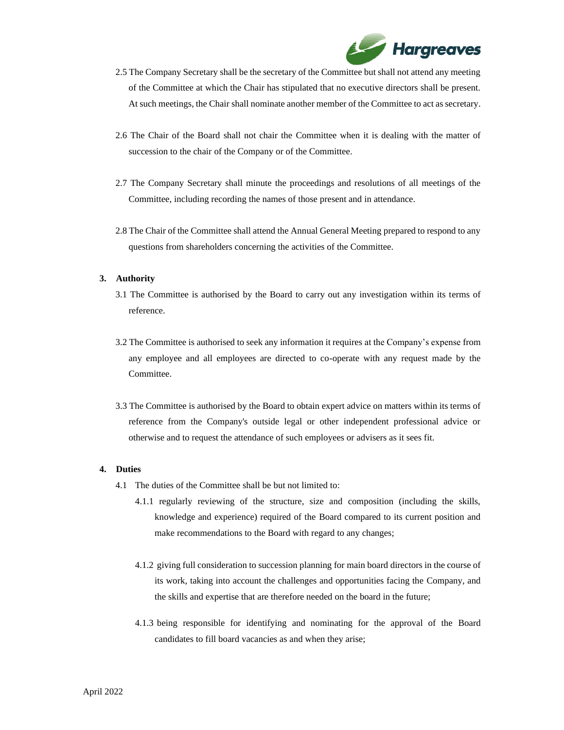

- 2.5 The Company Secretary shall be the secretary of the Committee but shall not attend any meeting of the Committee at which the Chair has stipulated that no executive directors shall be present. At such meetings, the Chair shall nominate another member of the Committee to act as secretary.
- 2.6 The Chair of the Board shall not chair the Committee when it is dealing with the matter of succession to the chair of the Company or of the Committee.
- 2.7 The Company Secretary shall minute the proceedings and resolutions of all meetings of the Committee, including recording the names of those present and in attendance.
- 2.8 The Chair of the Committee shall attend the Annual General Meeting prepared to respond to any questions from shareholders concerning the activities of the Committee.

# **3. Authority**

- 3.1 The Committee is authorised by the Board to carry out any investigation within its terms of reference.
- 3.2 The Committee is authorised to seek any information it requires at the Company's expense from any employee and all employees are directed to co-operate with any request made by the Committee.
- 3.3 The Committee is authorised by the Board to obtain expert advice on matters within its terms of reference from the Company's outside legal or other independent professional advice or otherwise and to request the attendance of such employees or advisers as it sees fit.

#### **4. Duties**

- 4.1 The duties of the Committee shall be but not limited to:
	- 4.1.1 regularly reviewing of the structure, size and composition (including the skills, knowledge and experience) required of the Board compared to its current position and make recommendations to the Board with regard to any changes;
	- 4.1.2 giving full consideration to succession planning for main board directors in the course of its work, taking into account the challenges and opportunities facing the Company, and the skills and expertise that are therefore needed on the board in the future;
	- 4.1.3 being responsible for identifying and nominating for the approval of the Board candidates to fill board vacancies as and when they arise;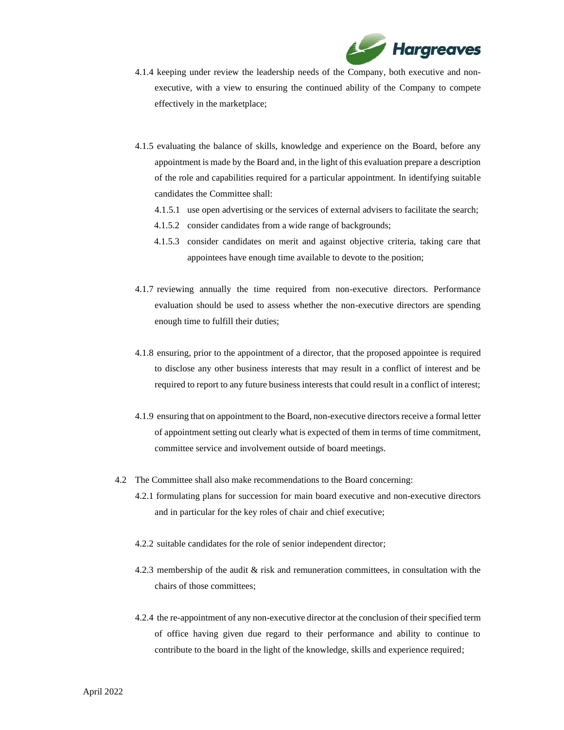

- 4.1.4 keeping under review the leadership needs of the Company, both executive and nonexecutive, with a view to ensuring the continued ability of the Company to compete effectively in the marketplace;
- 4.1.5 evaluating the balance of skills, knowledge and experience on the Board, before any appointment is made by the Board and, in the light of this evaluation prepare a description of the role and capabilities required for a particular appointment. In identifying suitable candidates the Committee shall:
	- 4.1.5.1 use open advertising or the services of external advisers to facilitate the search;
	- 4.1.5.2 consider candidates from a wide range of backgrounds;
	- 4.1.5.3 consider candidates on merit and against objective criteria, taking care that appointees have enough time available to devote to the position;
- 4.1.7 reviewing annually the time required from non-executive directors. Performance evaluation should be used to assess whether the non-executive directors are spending enough time to fulfill their duties;
- 4.1.8 ensuring, prior to the appointment of a director, that the proposed appointee is required to disclose any other business interests that may result in a conflict of interest and be required to report to any future business interests that could result in a conflict of interest;
- 4.1.9 ensuring that on appointment to the Board, non-executive directors receive a formal letter of appointment setting out clearly what is expected of them in terms of time commitment, committee service and involvement outside of board meetings.
- 4.2 The Committee shall also make recommendations to the Board concerning:
	- 4.2.1 formulating plans for succession for main board executive and non-executive directors and in particular for the key roles of chair and chief executive;
	- 4.2.2 suitable candidates for the role of senior independent director;
	- 4.2.3 membership of the audit & risk and remuneration committees, in consultation with the chairs of those committees;
	- 4.2.4 the re-appointment of any non-executive director at the conclusion of their specified term of office having given due regard to their performance and ability to continue to contribute to the board in the light of the knowledge, skills and experience required;